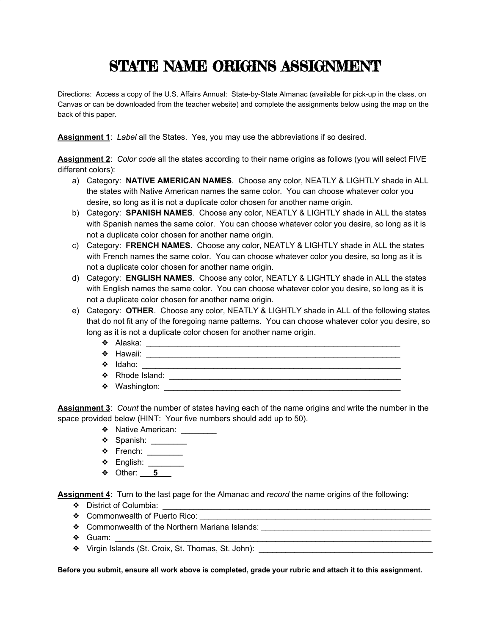## STATE NAME ORIGINS ASSIGNMENT

Directions: Access a copy of the U.S. Affairs Annual: State-by-State Almanac (available for pick-up in the class, on Canvas or can be downloaded from the teacher website) and complete the assignments below using the map on the back of this paper.

**Assignment 1**: *Label* all the States. Yes, you may use the abbreviations if so desired.

**Assignment 2**: *Color code* all the states according to their name origins as follows (you will select FIVE different colors):

- a) Category: **NATIVE AMERICAN NAMES**. Choose any color, NEATLY & LIGHTLY shade in ALL the states with Native American names the same color. You can choose whatever color you desire, so long as it is not a duplicate color chosen for another name origin.
- b) Category: **SPANISH NAMES**. Choose any color, NEATLY & LIGHTLY shade in ALL the states with Spanish names the same color. You can choose whatever color you desire, so long as it is not a duplicate color chosen for another name origin.
- c) Category: **FRENCH NAMES**. Choose any color, NEATLY & LIGHTLY shade in ALL the states with French names the same color. You can choose whatever color you desire, so long as it is not a duplicate color chosen for another name origin.
- d) Category: **ENGLISH NAMES**. Choose any color, NEATLY & LIGHTLY shade in ALL the states with English names the same color. You can choose whatever color you desire, so long as it is not a duplicate color chosen for another name origin.
- e) Category: **OTHER**. Choose any color, NEATLY & LIGHTLY shade in ALL of the following states that do not fit any of the foregoing name patterns. You can choose whatever color you desire, so long as it is not a duplicate color chosen for another name origin.
	- ❖ Alaska: \_\_\_\_\_\_\_\_\_\_\_\_\_\_\_\_\_\_\_\_\_\_\_\_\_\_\_\_\_\_\_\_\_\_\_\_\_\_\_\_\_\_\_\_\_\_\_\_\_\_\_\_\_\_\_\_\_
	- ❖ Hawaii: \_\_\_\_\_\_\_\_\_\_\_\_\_\_\_\_\_\_\_\_\_\_\_\_\_\_\_\_\_\_\_\_\_\_\_\_\_\_\_\_\_\_\_\_\_\_\_\_\_\_\_\_\_\_\_\_\_
	- ❖ Idaho: \_\_\_\_\_\_\_\_\_\_\_\_\_\_\_\_\_\_\_\_\_\_\_\_\_\_\_\_\_\_\_\_\_\_\_\_\_\_\_\_\_\_\_\_\_\_\_\_\_\_\_\_\_\_\_\_\_\_
	- ❖ Rhode Island: \_\_\_\_\_\_\_\_\_\_\_\_\_\_\_\_\_\_\_\_\_\_\_\_\_\_\_\_\_\_\_\_\_\_\_\_\_\_\_\_\_\_\_\_\_\_\_\_\_\_\_\_
	- $\clubsuit$  Washington:

**Assignment 3**: *Count* the number of states having each of the name origins and write the number in the space provided below (HINT: Your five numbers should add up to 50).

- ◆ Native American: <u>\_\_\_\_\_\_\_\_</u>
- ◆ Spanish: \_\_\_\_\_\_\_\_
- ❖ French: \_\_\_\_\_\_\_\_
- ❖ English: \_\_\_\_\_\_\_\_
- ❖ Other: **\_\_\_5\_\_\_**

**Assignment 4**: Turn to the last page for the Almanac and *record* the name origins of the following:

- ◆ District of Columbia: <u>● District of Columbia</u>
- ◆ Commonwealth of Puerto Rico:
- ◆ Commonwealth of the Northern Mariana Islands: \_\_\_\_\_\_\_\_\_\_\_\_\_\_\_\_\_\_\_\_\_\_\_\_\_\_\_\_\_\_\_\_
- $\clubsuit$  Guam:
- ◆ Virgin Islands (St. Croix, St. Thomas, St. John): \_\_\_\_\_\_\_\_\_\_\_\_\_\_\_\_\_\_\_\_\_\_\_\_\_\_\_

**Before you submit, ensure all work above is completed, grade your rubric and attach it to this assignment.**